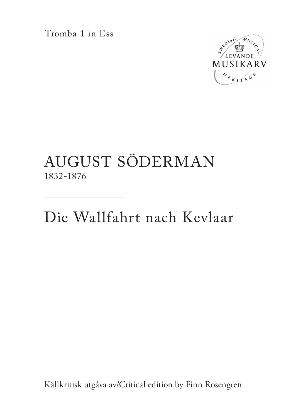Tromba 1 in Ess



## AUGUST SÖDERMAN 1832-1876

Die Wallfahrt nach Kevlaar

Källkritisk utgåva av/Critical edition by Finn Rosengren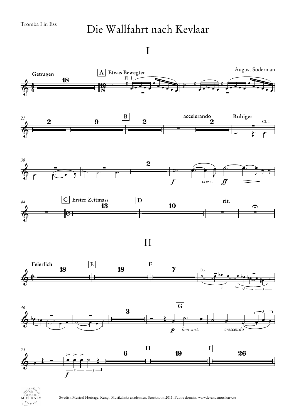## Die Wallfahrt nach Kevlaar

I